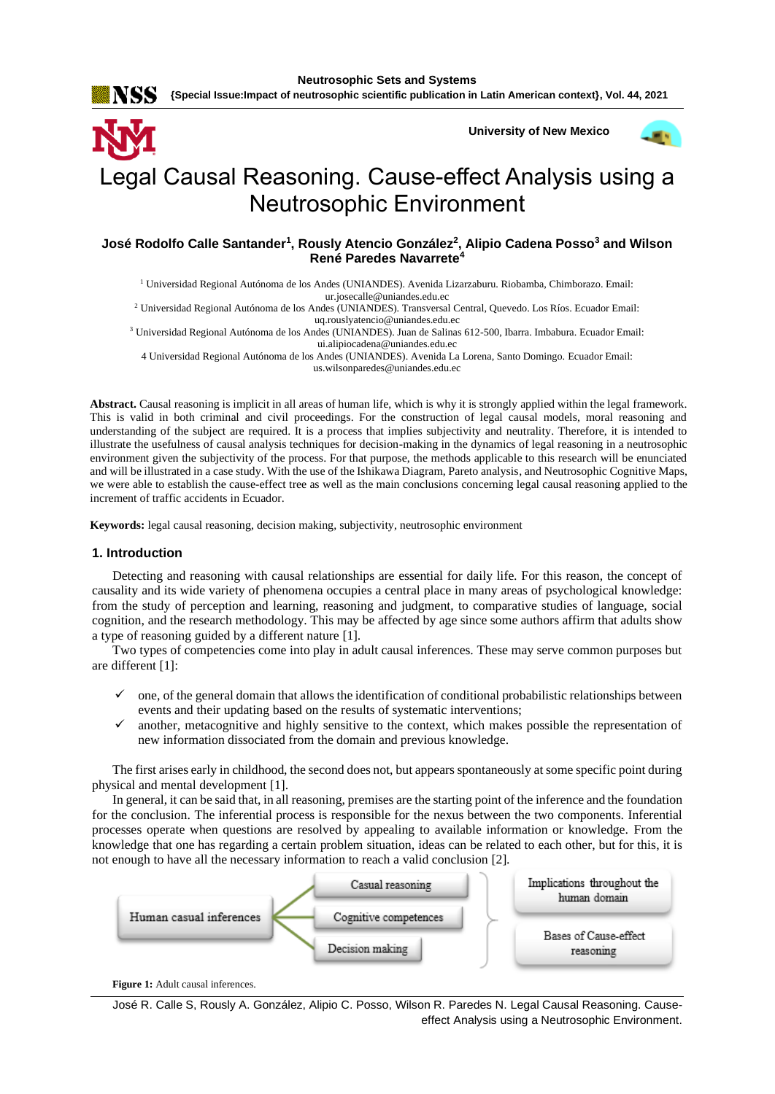NSS

**University of New Mexico**



# Legal Causal Reasoning. Cause-effect Analysis using a Neutrosophic Environment

**José Rodolfo Calle Santander<sup>1</sup> , Rously Atencio González<sup>2</sup> , Alipio Cadena Posso<sup>3</sup> and Wilson René Paredes Navarrete<sup>4</sup>**

<sup>1</sup> Universidad Regional Autónoma de los Andes (UNIANDES). Avenida Lizarzaburu. Riobamba, Chimborazo. Email: [ur.josecalle@uniandes.edu.ec](mailto:ur.josecalle@uniandes.edu.ec)

<sup>2</sup> Universidad Regional Autónoma de los Andes (UNIANDES). Transversal Central, Quevedo. Los Ríos. Ecuador Email: [uq.rouslyatencio@uniandes.edu.ec](mailto:uq.rouslyatencio@uniandes.edu.ec)

<sup>3</sup> Universidad Regional Autónoma de los Andes (UNIANDES). Juan de Salinas 612-500, Ibarra. Imbabura. Ecuador Email: [ui.alipiocadena@uniandes.edu.ec](mailto:ui.alipiocadena@uniandes.edu.ec)

4 Universidad Regional Autónoma de los Andes (UNIANDES). Avenida La Lorena, Santo Domingo. Ecuador Email: [us.wilsonparedes@uniandes.edu.ec](mailto:us.wilsonparedes@uniandes.edu.ec)

**Abstract.** Causal reasoning is implicit in all areas of human life, which is why it is strongly applied within the legal framework. This is valid in both criminal and civil proceedings. For the construction of legal causal models, moral reasoning and understanding of the subject are required. It is a process that implies subjectivity and neutrality. Therefore, it is intended to illustrate the usefulness of causal analysis techniques for decision-making in the dynamics of legal reasoning in a neutrosophic environment given the subjectivity of the process. For that purpose, the methods applicable to this research will be enunciated and will be illustrated in a case study. With the use of the Ishikawa Diagram, Pareto analysis, and Neutrosophic Cognitive Maps, we were able to establish the cause-effect tree as well as the main conclusions concerning legal causal reasoning applied to the increment of traffic accidents in Ecuador.

**Keywords:** legal causal reasoning, decision making, subjectivity, neutrosophic environment

# **1. Introduction**

Detecting and reasoning with causal relationships are essential for daily life. For this reason, the concept of causality and its wide variety of phenomena occupies a central place in many areas of psychological knowledge: from the study of perception and learning, reasoning and judgment, to comparative studies of language, social cognition, and the research methodology. This may be affected by age since some authors affirm that adults show a type of reasoning guided by a different nature [\[1\]](#page-7-0).

Two types of competencies come into play in adult causal inferences. These may serve common purposes but are different [\[1\]](#page-7-0):

- ✓ one, of the general domain that allows the identification of conditional probabilistic relationships between events and their updating based on the results of systematic interventions;
- $\checkmark$  another, metacognitive and highly sensitive to the context, which makes possible the representation of new information dissociated from the domain and previous knowledge.

The first arises early in childhood, the second does not, but appears spontaneously at some specific point during physical and mental development [\[1\]](#page-7-0).

In general, it can be said that, in all reasoning, premises are the starting point of the inference and the foundation for the conclusion. The inferential process is responsible for the nexus between the two components. Inferential processes operate when questions are resolved by appealing to available information or knowledge. From the knowledge that one has regarding a certain problem situation, ideas can be related to each other, but for this, it is not enough to have all the necessary information to reach a valid conclusion [\[2\]](#page-7-1).



Figure 1: Adult causal inferences.

José R. Calle S, Rously A. González, Alipio C. Posso, Wilson R. Paredes N. Legal Causal Reasoning. Causeeffect Analysis using a Neutrosophic Environment.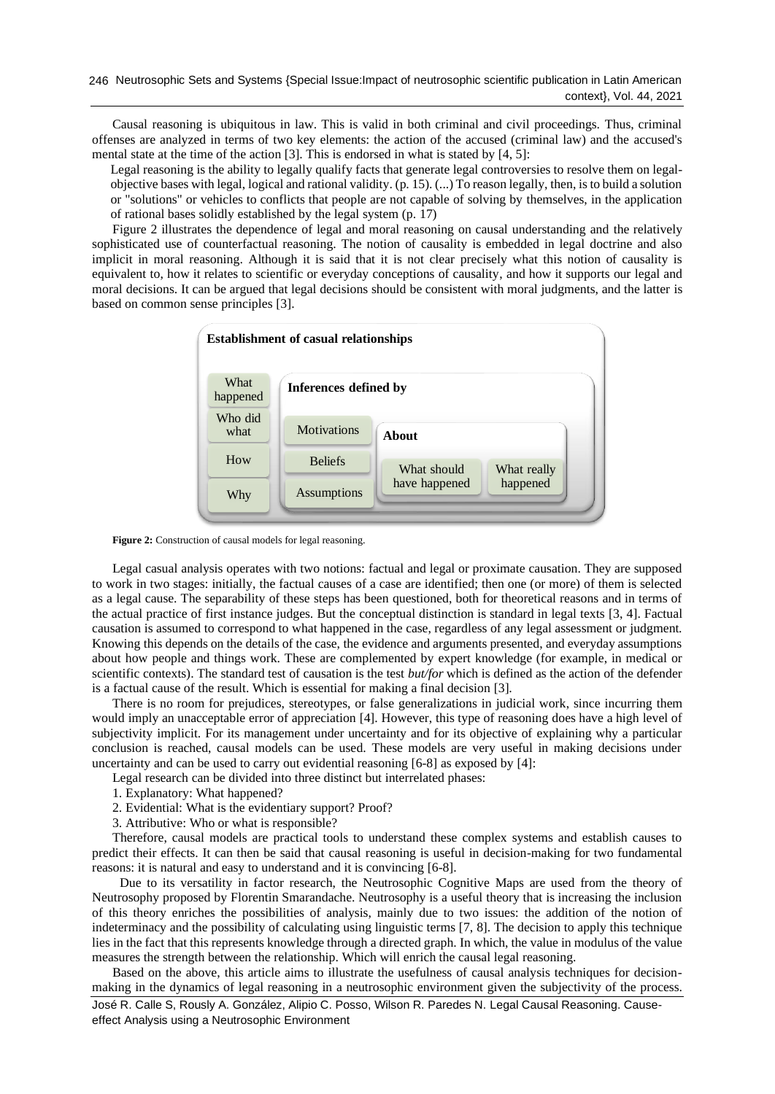Causal reasoning is ubiquitous in law. This is valid in both criminal and civil proceedings. Thus, criminal offenses are analyzed in terms of two key elements: the action of the accused (criminal law) and the accused's mental state at the time of the action [\[3\]](#page-7-2). This is endorsed in what is stated by [\[4,](#page-7-3) [5\]](#page-7-4):

Legal reasoning is the ability to legally qualify facts that generate legal controversies to resolve them on legalobjective bases with legal, logical and rational validity. (p. 15). (...) To reason legally, then, is to build a solution or "solutions" or vehicles to conflicts that people are not capable of solving by themselves, in the application of rational bases solidly established by the legal system (p. 17)

Figure 2 illustrates the dependence of legal and moral reasoning on causal understanding and the relatively sophisticated use of counterfactual reasoning. The notion of causality is embedded in legal doctrine and also implicit in moral reasoning. Although it is said that it is not clear precisely what this notion of causality is equivalent to, how it relates to scientific or everyday conceptions of causality, and how it supports our legal and moral decisions. It can be argued that legal decisions should be consistent with moral judgments, and the latter is based on common sense principles [\[3\]](#page-7-2).



**Figure 2:** Construction of causal models for legal reasoning.

Legal casual analysis operates with two notions: factual and legal or proximate causation. They are supposed to work in two stages: initially, the factual causes of a case are identified; then one (or more) of them is selected as a legal cause. The separability of these steps has been questioned, both for theoretical reasons and in terms of the actual practice of first instance judges. But the conceptual distinction is standard in legal texts [\[3,](#page-7-2) [4\]](#page-7-3). Factual causation is assumed to correspond to what happened in the case, regardless of any legal assessment or judgment. Knowing this depends on the details of the case, the evidence and arguments presented, and everyday assumptions about how people and things work. These are complemented by expert knowledge (for example, in medical or scientific contexts). The standard test of causation is the test *but/for* which is defined as the action of the defender is a factual cause of the result. Which is essential for making a final decision [\[3\]](#page-7-2).

There is no room for prejudices, stereotypes, or false generalizations in judicial work, since incurring them would imply an unacceptable error of appreciation [\[4\]](#page-7-3). However, this type of reasoning does have a high level of subjectivity implicit. For its management under uncertainty and for its objective of explaining why a particular conclusion is reached, causal models can be used. These models are very useful in making decisions under uncertainty and can be used to carry out evidential reasoning [\[6-8\]](#page-7-5) as exposed by [\[4\]](#page-7-3):

Legal research can be divided into three distinct but interrelated phases:

- 1. Explanatory: What happened?
- 2. Evidential: What is the evidentiary support? Proof?
- 3. Attributive: Who or what is responsible?

Therefore, causal models are practical tools to understand these complex systems and establish causes to predict their effects. It can then be said that causal reasoning is useful in decision-making for two fundamental reasons: it is natural and easy to understand and it is convincing [\[6-8\]](#page-7-5).

Due to its versatility in factor research, the Neutrosophic Cognitive Maps are used from the theory of Neutrosophy proposed by Florentin Smarandache. Neutrosophy is a useful theory that is increasing the inclusion of this theory enriches the possibilities of analysis, mainly due to two issues: the addition of the notion of indeterminacy and the possibility of calculating using linguistic terms [\[7,](#page-7-6) [8\]](#page-7-7). The decision to apply this technique lies in the fact that this represents knowledge through a directed graph. In which, the value in modulus of the value measures the strength between the relationship. Which will enrich the causal legal reasoning.

José R. Calle S, Rously A. González, Alipio C. Posso, Wilson R. Paredes N. Legal Causal Reasoning. Causeeffect Analysis using a Neutrosophic Environment Based on the above, this article aims to illustrate the usefulness of causal analysis techniques for decisionmaking in the dynamics of legal reasoning in a neutrosophic environment given the subjectivity of the process.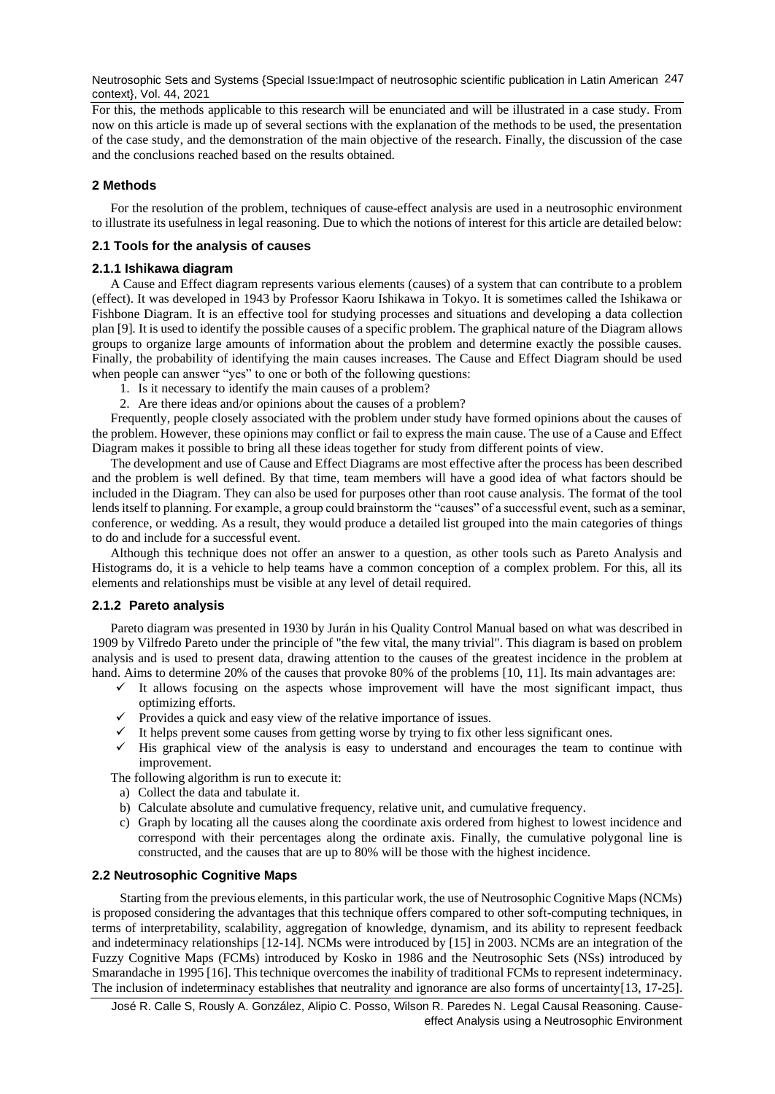Neutrosophic Sets and Systems {Special Issue:Impact of neutrosophic scientific publication in Latin American 247 context}, Vol. 44, 2021

For this, the methods applicable to this research will be enunciated and will be illustrated in a case study. From now on this article is made up of several sections with the explanation of the methods to be used, the presentation of the case study, and the demonstration of the main objective of the research. Finally, the discussion of the case and the conclusions reached based on the results obtained.

## **2 Methods**

For the resolution of the problem, techniques of cause-effect analysis are used in a neutrosophic environment to illustrate its usefulness in legal reasoning. Due to which the notions of interest for this article are detailed below:

## **2.1 Tools for the analysis of causes**

#### **2.1.1 Ishikawa diagram**

A Cause and Effect diagram represents various elements (causes) of a system that can contribute to a problem (effect). It was developed in 1943 by Professor Kaoru Ishikawa in Tokyo. It is sometimes called the Ishikawa or Fishbone Diagram. It is an effective tool for studying processes and situations and developing a data collection plan [\[9\]](#page-7-8). It is used to identify the possible causes of a specific problem. The graphical nature of the Diagram allows groups to organize large amounts of information about the problem and determine exactly the possible causes. Finally, the probability of identifying the main causes increases. The Cause and Effect Diagram should be used when people can answer "yes" to one or both of the following questions:

- 1. Is it necessary to identify the main causes of a problem?
- 2. Are there ideas and/or opinions about the causes of a problem?

Frequently, people closely associated with the problem under study have formed opinions about the causes of the problem. However, these opinions may conflict or fail to express the main cause. The use of a Cause and Effect Diagram makes it possible to bring all these ideas together for study from different points of view.

The development and use of Cause and Effect Diagrams are most effective after the process has been described and the problem is well defined. By that time, team members will have a good idea of what factors should be included in the Diagram. They can also be used for purposes other than root cause analysis. The format of the tool lends itself to planning. For example, a group could brainstorm the "causes" of a successful event, such as a seminar, conference, or wedding. As a result, they would produce a detailed list grouped into the main categories of things to do and include for a successful event.

Although this technique does not offer an answer to a question, as other tools such as Pareto Analysis and Histograms do, it is a vehicle to help teams have a common conception of a complex problem. For this, all its elements and relationships must be visible at any level of detail required.

## **2.1.2 Pareto analysis**

Pareto diagram was presented in 1930 by Jurán in his Quality Control Manual based on what was described in 1909 by Vilfredo Pareto under the principle of "the few vital, the many trivial". This diagram is based on problem analysis and is used to present data, drawing attention to the causes of the greatest incidence in the problem at hand. Aims to determine 20% of the causes that provoke 80% of the problems [\[10,](#page-7-9) [11\]](#page-7-10). Its main advantages are:

- $\checkmark$  It allows focusing on the aspects whose improvement will have the most significant impact, thus optimizing efforts.
- $\checkmark$  Provides a quick and easy view of the relative importance of issues.
- $\checkmark$  It helps prevent some causes from getting worse by trying to fix other less significant ones.
- ✓ His graphical view of the analysis is easy to understand and encourages the team to continue with improvement.

The following algorithm is run to execute it:

- a) Collect the data and tabulate it.
- b) Calculate absolute and cumulative frequency, relative unit, and cumulative frequency.
- c) Graph by locating all the causes along the coordinate axis ordered from highest to lowest incidence and correspond with their percentages along the ordinate axis. Finally, the cumulative polygonal line is constructed, and the causes that are up to 80% will be those with the highest incidence.

## **2.2 Neutrosophic Cognitive Maps**

Starting from the previous elements, in this particular work, the use of Neutrosophic Cognitive Maps (NCMs) is proposed considering the advantages that this technique offers compared to other soft-computing techniques, in terms of interpretability, scalability, aggregation of knowledge, dynamism, and its ability to represent feedback and indeterminacy relationships [\[12-14\]](#page-7-11). NCMs were introduced by [\[15\]](#page-8-0) in 2003. NCMs are an integration of the Fuzzy Cognitive Maps (FCMs) introduced by Kosko in 1986 and the Neutrosophic Sets (NSs) introduced by Smarandache in 1995 [\[16\]](#page-8-1). This technique overcomes the inability of traditional FCMs to represent indeterminacy. The inclusion of indeterminacy establishes that neutrality and ignorance are also forms of uncertainty[\[13,](#page-8-2) [17-25\]](#page-8-3).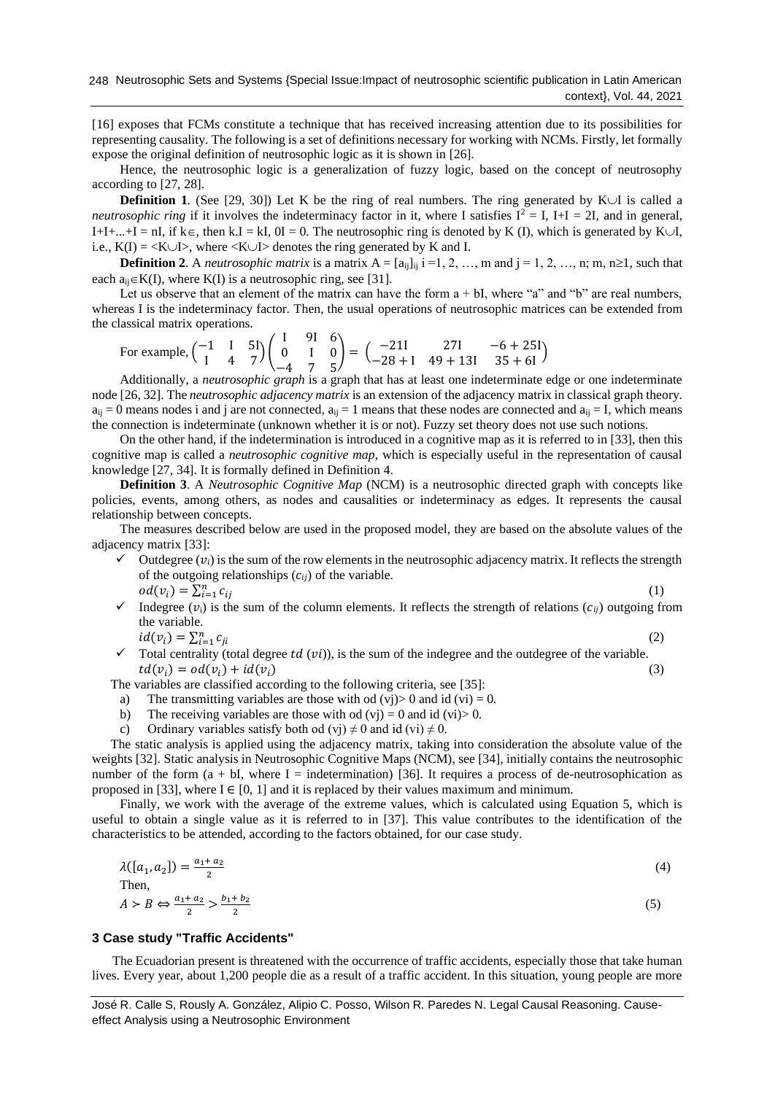[\[16\]](#page-8-1) exposes that FCMs constitute a technique that has received increasing attention due to its possibilities for representing causality. The following is a set of definitions necessary for working with NCMs. Firstly, let formally expose the original definition of neutrosophic logic as it is shown in [\[26\]](#page-8-4).

Hence, the neutrosophic logic is a generalization of fuzzy logic, based on the concept of neutrosophy according to [\[27,](#page-8-5) [28\]](#page-8-6).

**Definition 1.** (See [\[29,](#page-8-7) [30\]](#page-8-8)) Let K be the ring of real numbers. The ring generated by K $\cup$ I is called a *neutrosophic ring* if it involves the indeterminacy factor in it, where I satisfies  $I^2 = I$ ,  $I+I = 2I$ , and in general, I+I+...+I = nI, if  $k \in$ , then k.I = kI,  $0I = 0$ . The neutrosophic ring is denoted by K (I), which is generated by K $\cup I$ , i.e.,  $K(I) = \langle K \cup I \rangle$ , where  $\langle K \cup I \rangle$  denotes the ring generated by K and I.

**Definition 2**. A *neutrosophic matrix* is a matrix  $A = [a_{ij}]_{ij}$  i =1, 2, …, m and j = 1, 2, …, n; m, n\le 1, such that each  $a_{ii} \in K(I)$ , where  $K(I)$  is a neutrosophic ring, see [\[31\]](#page-8-9).

Let us observe that an element of the matrix can have the form a + bI, where "a" and "b" are real numbers, whereas I is the indeterminacy factor. Then, the usual operations of neutrosophic matrices can be extended from the classical matrix operations.

For example,  $\begin{pmatrix} -1 & 1 & 5 \ 1 & 4 & 7 \end{pmatrix}$  $\begin{bmatrix} 1 & 1 & 31 \\ 1 & 4 & 7 \end{bmatrix}$ I 9I 6 0 I 0 −4 7 5  $= \begin{pmatrix} -211 & 271 & -6 + 251 \\ -28 + 1 & 49 + 131 & 35 + 61 \end{pmatrix}$ 

Additionally, a *neutrosophic graph* is a graph that has at least one indeterminate edge or one indeterminate node [\[26,](#page-8-4) [32\]](#page-8-10). The *neutrosophic adjacency matrix* is an extension of the adjacency matrix in classical graph theory.  $a_{ij} = 0$  means nodes i and j are not connected,  $a_{ij} = 1$  means that these nodes are connected and  $a_{ij} = I$ , which means the connection is indeterminate (unknown whether it is or not). Fuzzy set theory does not use such notions.

On the other hand, if the indetermination is introduced in a cognitive map as it is referred to in [\[33\]](#page-8-11), then this cognitive map is called a *neutrosophic cognitive map*, which is especially useful in the representation of causal knowledge [\[27,](#page-8-5) [34\]](#page-8-12). It is formally defined in Definition 4.

**Definition 3**. A *Neutrosophic Cognitive Map* (NCM) is a neutrosophic directed graph with concepts like policies, events, among others, as nodes and causalities or indeterminacy as edges. It represents the causal relationship between concepts.

The measures described below are used in the proposed model, they are based on the absolute values of the adjacency matrix [\[33\]](#page-8-11):

- $\checkmark$  Outdegree ( $v_i$ ) is the sum of the row elements in the neutrosophic adjacency matrix. It reflects the strength of the outgoing relationships  $(c_{ij})$  of the variable.  $od(v_i) = \sum_{i=1}^n c_{ij}$ (1)
- $\checkmark$  Indegree  $(v_i)$  is the sum of the column elements. It reflects the strength of relations  $(c_{ii})$  outgoing from the variable.

 $id(v_i) = \sum_{i=1}^n c_{ji}$ (2)

 $\checkmark$  Total centrality (total degree *td* (*vi*)), is the sum of the indegree and the outdegree of the variable.  $td(v_i) = od(v_i) + id(v_i)$  (3)

The variables are classified according to the following criteria, see [\[35\]](#page-8-13):

- a) The transmitting variables are those with od  $(vj) > 0$  and id  $(vi) = 0$ .
- b) The receiving variables are those with od  $(vj) = 0$  and id  $(vi) > 0$ .
- c) Ordinary variables satisfy both od (vj)  $\neq$  0 and id (vi)  $\neq$  0.

The static analysis is applied using the adjacency matrix, taking into consideration the absolute value of the weights [\[32\]](#page-8-10). Static analysis in Neutrosophic Cognitive Maps (NCM), see [\[34\]](#page-8-12), initially contains the neutrosophic number of the form  $(a + bI)$ , where I = indetermination) [\[36\]](#page-8-14). It requires a process of de-neutrosophication as proposed in [\[33\]](#page-8-11), where  $I \in [0, 1]$  and it is replaced by their values maximum and minimum.

Finally, we work with the average of the extreme values, which is calculated using Equation 5, which is useful to obtain a single value as it is referred to in [\[37\]](#page-8-15). This value contributes to the identification of the characteristics to be attended, according to the factors obtained, for our case study.

$$
\lambda([a_1, a_2]) = \frac{a_1 + a_2}{2}
$$
\nThen,  
\n
$$
A > B \Leftrightarrow \frac{a_1 + a_2}{2} > \frac{b_1 + b_2}{2}
$$
\n(5)

### **3 Case study "Traffic Accidents"**

The Ecuadorian present is threatened with the occurrence of traffic accidents, especially those that take human lives. Every year, about 1,200 people die as a result of a traffic accident. In this situation, young people are more

José R. Calle S, Rously A. González, Alipio C. Posso, Wilson R. Paredes N. Legal Causal Reasoning. Causeeffect Analysis using a Neutrosophic Environment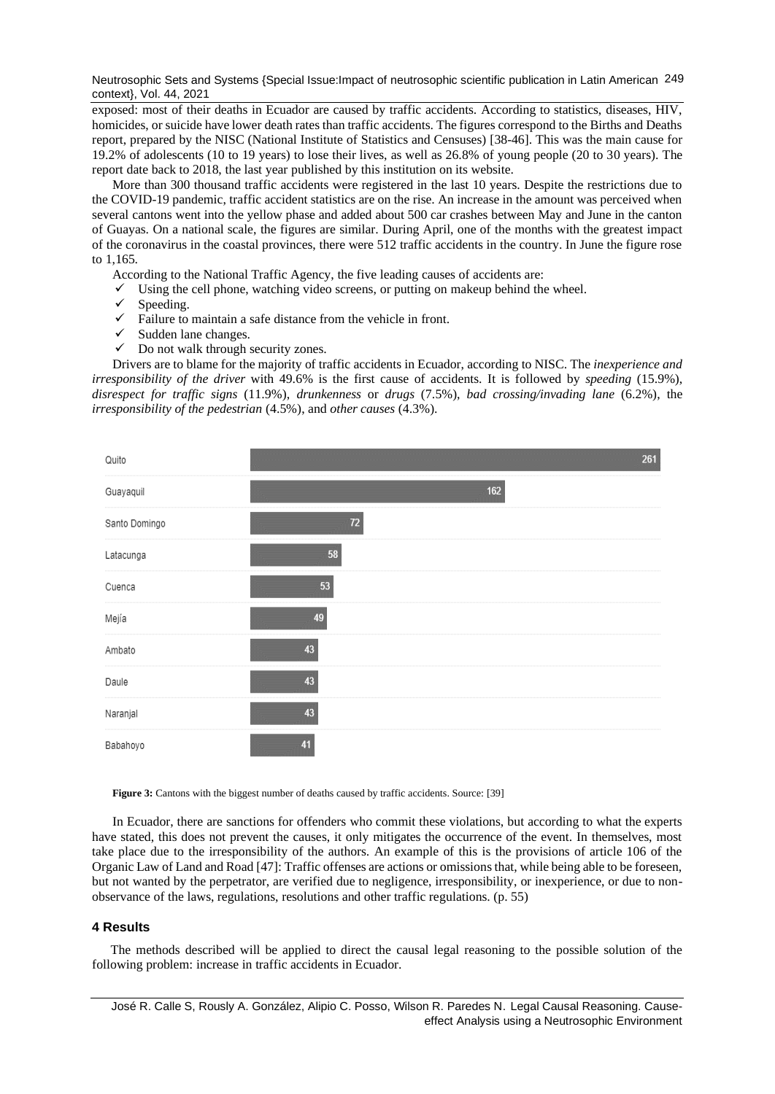Neutrosophic Sets and Systems {Special Issue:Impact of neutrosophic scientific publication in Latin American 249 context}, Vol. 44, 2021

exposed: most of their deaths in Ecuador are caused by traffic accidents. According to statistics, diseases, HIV, homicides, or suicide have lower death rates than traffic accidents. The figures correspond to the Births and Deaths report, prepared by the NISC (National Institute of Statistics and Censuses) [\[38-46\]](#page-8-16). This was the main cause for 19.2% of adolescents (10 to 19 years) to lose their lives, as well as 26.8% of young people (20 to 30 years). The report date back to 2018, the last year published by this institution on its website.

More than 300 thousand traffic accidents were registered in the last 10 years. Despite the restrictions due to the COVID-19 pandemic, traffic accident statistics are on the rise. An increase in the amount was perceived when several cantons went into the yellow phase and added about 500 car crashes between May and June in the canton of Guayas. On a national scale, the figures are similar. During April, one of the months with the greatest impact of the coronavirus in the coastal provinces, there were 512 traffic accidents in the country. In June the figure rose to 1,165.

According to the National Traffic Agency, the five leading causes of accidents are:

- $\checkmark$  Using the cell phone, watching video screens, or putting on makeup behind the wheel.
- ✓ Speeding.
- $\checkmark$  Failure to maintain a safe distance from the vehicle in front.
- $\checkmark$  Sudden lane changes.
- $\checkmark$  Do not walk through security zones.

Drivers are to blame for the majority of traffic accidents in Ecuador, according to NISC. The *inexperience and irresponsibility of the driver* with 49.6% is the first cause of accidents. It is followed by *speeding* (15.9%), *disrespect for traffic signs* (11.9%), *drunkenness* or *drugs* (7.5%), *bad crossing/invading lane* (6.2%), the *irresponsibility of the pedestrian* (4.5%), and *other causes* (4.3%).



Figure 3: Cantons with the biggest number of deaths caused by traffic accidents. Source: [\[39\]](#page-8-17)

In Ecuador, there are sanctions for offenders who commit these violations, but according to what the experts have stated, this does not prevent the causes, it only mitigates the occurrence of the event. In themselves, most take place due to the irresponsibility of the authors. An example of this is the provisions of article 106 of the Organic Law of Land and Road [\[47\]](#page-9-0): Traffic offenses are actions or omissions that, while being able to be foreseen, but not wanted by the perpetrator, are verified due to negligence, irresponsibility, or inexperience, or due to nonobservance of the laws, regulations, resolutions and other traffic regulations. (p. 55)

#### **4 Results**

The methods described will be applied to direct the causal legal reasoning to the possible solution of the following problem: increase in traffic accidents in Ecuador.

José R. Calle S, Rously A. González, Alipio C. Posso, Wilson R. Paredes N. Legal Causal Reasoning. Causeeffect Analysis using a Neutrosophic Environment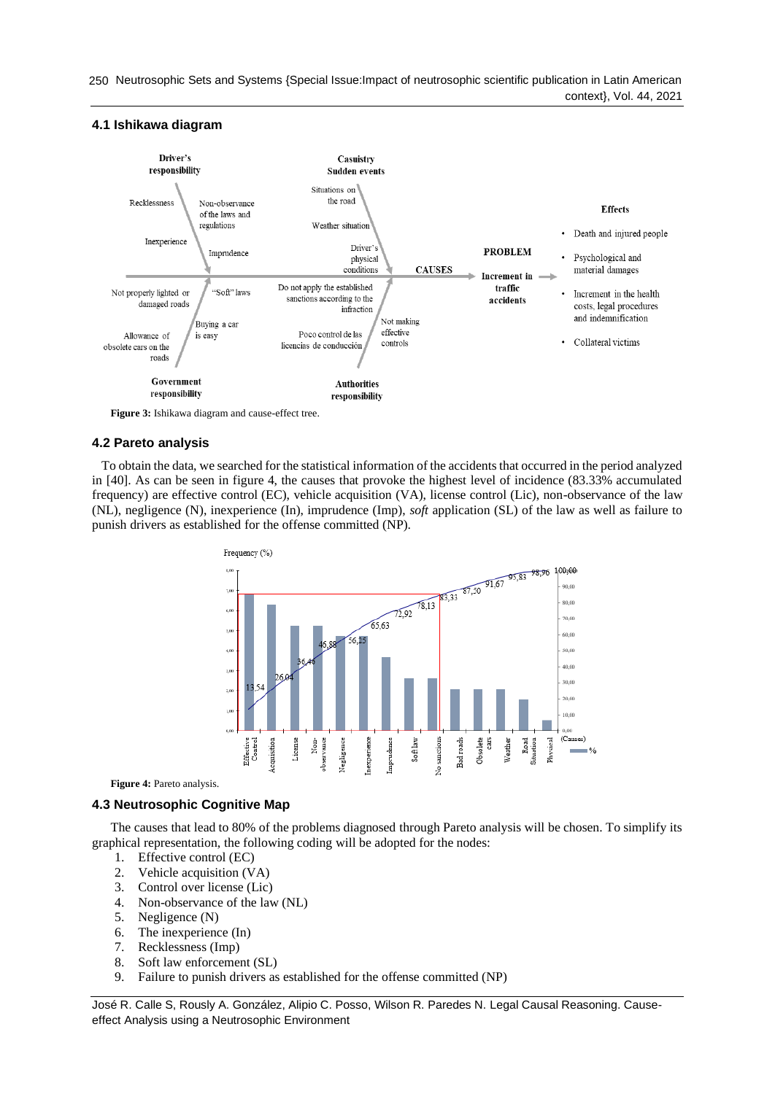250 Neutrosophic Sets and Systems {Special Issue:Impact of neutrosophic scientific publication in Latin American context}, Vol. 44, 2021

# **4.1 Ishikawa diagram**



**Figure 3:** Ishikawa diagram and cause-effect tree.

# **4.2 Pareto analysis**

To obtain the data, we searched for the statistical information of the accidents that occurred in the period analyzed in [\[40\]](#page-9-1). As can be seen in figure 4, the causes that provoke the highest level of incidence (83.33% accumulated frequency) are effective control (EC), vehicle acquisition (VA), license control (Lic), non-observance of the law (NL), negligence (N), inexperience (In), imprudence (Imp), *soft* application (SL) of the law as well as failure to punish drivers as established for the offense committed (NP).



Figure 4: Pareto analysis.

# **4.3 Neutrosophic Cognitive Map**

The causes that lead to 80% of the problems diagnosed through Pareto analysis will be chosen. To simplify its graphical representation, the following coding will be adopted for the nodes:

- 1. Effective control (EC)
- 2. Vehicle acquisition (VA)
- 3. Control over license (Lic)
- 4. Non-observance of the law (NL)
- 5. Negligence (N)
- 6. The inexperience (In)
- 7. Recklessness (Imp)
- 8. Soft law enforcement (SL)
- 9. Failure to punish drivers as established for the offense committed (NP)

José R. Calle S, Rously A. González, Alipio C. Posso, Wilson R. Paredes N. Legal Causal Reasoning. Causeeffect Analysis using a Neutrosophic Environment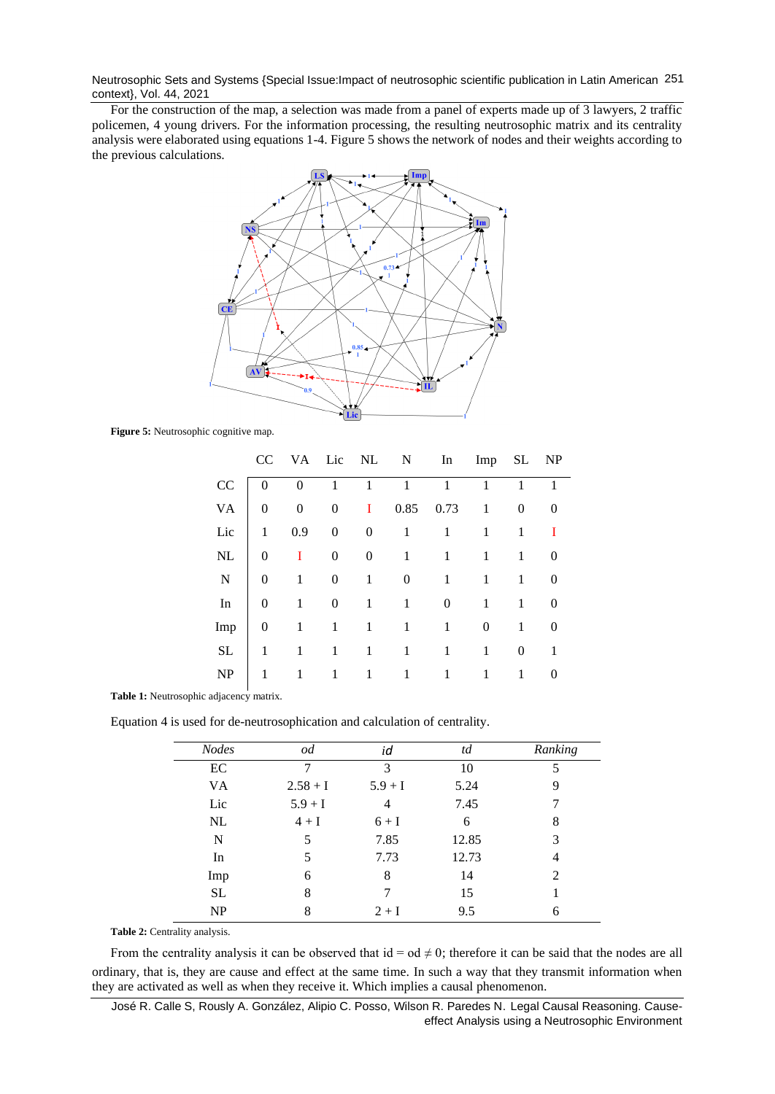Neutrosophic Sets and Systems {Special Issue:Impact of neutrosophic scientific publication in Latin American 251 context}, Vol. 44, 2021

For the construction of the map, a selection was made from a panel of experts made up of 3 lawyers, 2 traffic policemen, 4 young drivers. For the information processing, the resulting neutrosophic matrix and its centrality analysis were elaborated using equations 1-4. Figure 5 shows the network of nodes and their weights according to the previous calculations.



**Figure 5:** Neutrosophic cognitive map.

|             | CC           |          | VA Lic NL |          | N    | In   | Imp              | SL | NP       |
|-------------|--------------|----------|-----------|----------|------|------|------------------|----|----------|
| CC          | $\theta$     | $\Omega$ | 1         | 1        | 1    | 1    | 1                | 1  | 1        |
| <b>VA</b>   | 0            | 0        | 0         | 1        | 0.85 | 0.73 | 1                | 0  |          |
| Lic         | 1            | 0.9      | 0         | $\theta$ | 1    | 1    | 1                | 1  | T        |
| NL          | $\theta$     | 1        | 0         | $\theta$ | 1    | 1    | 1                | 1  | $\theta$ |
| $\mathbf N$ | $\mathbf{0}$ | 1        | $\theta$  | 1        | 0    | 1    | 1                | 1  | $\theta$ |
| In          | 0            | 1        | 0         | 1        | 1    | 0    | 1                | 1  | 0        |
| Imp         | 0            | 1        | 1         | 1        | 1    | 1    | $\boldsymbol{0}$ | 1  | 0        |
| $\rm SL$    | 1            | 1        | 1         | 1        | 1    | 1    | 1                | 0  | 1        |
| NP          | 1            | 1        | 1         | 1        | 1    | 1    |                  | 1  |          |

**Table 1:** Neutrosophic adjacency matrix.

Equation 4 is used for de-neutrosophication and calculation of centrality.

| <b>Nodes</b> | od         | id        | td    | Ranking        |
|--------------|------------|-----------|-------|----------------|
| EC           |            | 3         | 10    | 5              |
| VA.          | $2.58 + I$ | $5.9 + I$ | 5.24  | 9              |
| Lic          | $5.9 + I$  | 4         | 7.45  |                |
| NL           | $4 + I$    | $6+I$     | 6     | 8              |
| N            | 5          | 7.85      | 12.85 | 3              |
| In           | 5          | 7.73      | 12.73 | 4              |
| Imp          | 6          | 8         | 14    | $\mathfrak{D}$ |
| <b>SL</b>    | 8          |           | 15    |                |
| NP           | 8          | $2+I$     | 9.5   | 6              |

**Table 2:** Centrality analysis.

ordinary, that is, they are cause and effect at the same time. In such a way that they transmit information when they are activated as well as when they receive it. Which implies a causal phenomenon. From the centrality analysis it can be observed that  $id = od \neq 0$ ; therefore it can be said that the nodes are all

José R. Calle S, Rously A. González, Alipio C. Posso, Wilson R. Paredes N. Legal Causal Reasoning. Causeeffect Analysis using a Neutrosophic Environment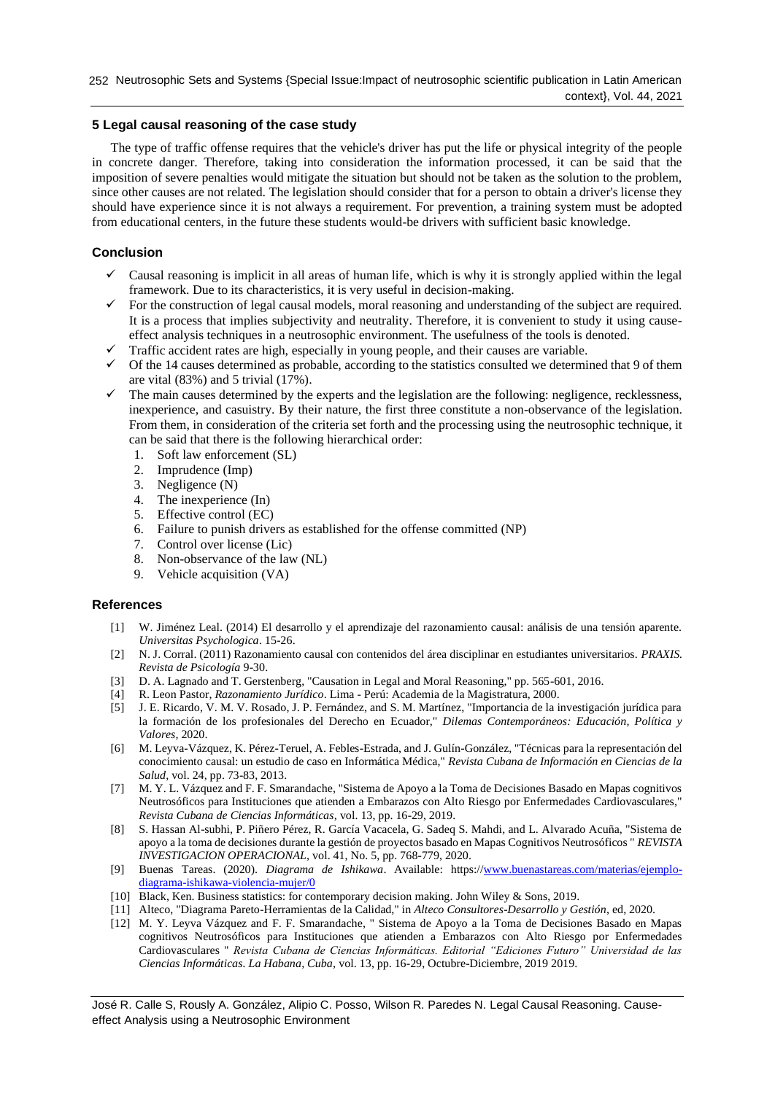# **5 Legal causal reasoning of the case study**

The type of traffic offense requires that the vehicle's driver has put the life or physical integrity of the people in concrete danger. Therefore, taking into consideration the information processed, it can be said that the imposition of severe penalties would mitigate the situation but should not be taken as the solution to the problem, since other causes are not related. The legislation should consider that for a person to obtain a driver's license they should have experience since it is not always a requirement. For prevention, a training system must be adopted from educational centers, in the future these students would-be drivers with sufficient basic knowledge.

# **Conclusion**

- Causal reasoning is implicit in all areas of human life, which is why it is strongly applied within the legal framework. Due to its characteristics, it is very useful in decision-making.
- For the construction of legal causal models, moral reasoning and understanding of the subject are required. It is a process that implies subjectivity and neutrality. Therefore, it is convenient to study it using causeeffect analysis techniques in a neutrosophic environment. The usefulness of the tools is denoted.
- Traffic accident rates are high, especially in young people, and their causes are variable.
- ✓ Of the 14 causes determined as probable, according to the statistics consulted we determined that 9 of them are vital (83%) and 5 trivial (17%).
- $\checkmark$  The main causes determined by the experts and the legislation are the following: negligence, recklessness, inexperience, and casuistry. By their nature, the first three constitute a non-observance of the legislation. From them, in consideration of the criteria set forth and the processing using the neutrosophic technique, it can be said that there is the following hierarchical order:
	- 1. Soft law enforcement (SL)
	- 2. Imprudence (Imp)
	- 3. Negligence (N)
	- 4. The inexperience (In)
	- 5. Effective control (EC)
	- 6. Failure to punish drivers as established for the offense committed (NP)
	- 7. Control over license (Lic)
	- 8. Non-observance of the law (NL)
	- 9. Vehicle acquisition (VA)

# **References**

- <span id="page-7-0"></span>[1] W. Jiménez Leal. (2014) El desarrollo y el aprendizaje del razonamiento causal: análisis de una tensión aparente. *Universitas Psychologica*. 15-26.
- <span id="page-7-1"></span>[2] N. J. Corral. (2011) Razonamiento causal con contenidos del área disciplinar en estudiantes universitarios. *PRAXIS. Revista de Psicología* 9-30.
- <span id="page-7-2"></span>[3] D. A. Lagnado and T. Gerstenberg, "Causation in Legal and Moral Reasoning," pp. 565-601, 2016.
- <span id="page-7-3"></span>[4] R. Leon Pastor, *Razonamiento Jurídico*. Lima - Perú: Academia de la Magistratura, 2000.
- <span id="page-7-4"></span>[5] J. E. Ricardo, V. M. V. Rosado, J. P. Fernández, and S. M. Martínez, "Importancia de la investigación jurídica para la formación de los profesionales del Derecho en Ecuador," *Dilemas Contemporáneos: Educación, Política y Valores,* 2020.
- <span id="page-7-5"></span>[6] M. Leyva-Vázquez, K. Pérez-Teruel, A. Febles-Estrada, and J. Gulín-González, "Técnicas para la representación del conocimiento causal: un estudio de caso en Informática Médica," *Revista Cubana de Información en Ciencias de la Salud,* vol. 24, pp. 73-83, 2013.
- <span id="page-7-6"></span>[7] M. Y. L. Vázquez and F. F. Smarandache, "Sistema de Apoyo a la Toma de Decisiones Basado en Mapas cognitivos Neutrosóficos para Instituciones que atienden a Embarazos con Alto Riesgo por Enfermedades Cardiovasculares," *Revista Cubana de Ciencias Informáticas,* vol. 13, pp. 16-29, 2019.
- <span id="page-7-7"></span>[8] S. Hassan Al-subhi, P. Piñero Pérez, R. García Vacacela, G. Sadeq S. Mahdi, and L. Alvarado Acuña, "Sistema de apoyo a la toma de decisiones durante la gestión de proyectos basado en Mapas Cognitivos Neutrosóficos " *REVISTA INVESTIGACION OPERACIONAL,* vol. 41, No. 5, pp. 768-779, 2020.
- <span id="page-7-8"></span>[9] Buenas Tareas. (2020). *Diagrama de Ishikawa*. Available: https:[//www.buenastareas.com/materias/ejemplo](http://www.buenastareas.com/materias/ejemplo-diagrama-ishikawa-violencia-mujer/0)[diagrama-ishikawa-violencia-mujer/0](http://www.buenastareas.com/materias/ejemplo-diagrama-ishikawa-violencia-mujer/0)
- <span id="page-7-9"></span>[10] Black, Ken. Business statistics: for contemporary decision making. John Wiley & Sons, 2019.
- <span id="page-7-10"></span>[11] Alteco, "Diagrama Pareto-Herramientas de la Calidad," in *Alteco Consultores-Desarrollo y Gestión*, ed, 2020.
- <span id="page-7-11"></span>[12] M. Y. Leyva Vázquez and F. F. Smarandache, " Sistema de Apoyo a la Toma de Decisiones Basado en Mapas cognitivos Neutrosóficos para Instituciones que atienden a Embarazos con Alto Riesgo por Enfermedades Cardiovasculares " *Revista Cubana de Ciencias Informáticas. Editorial "Ediciones Futuro" Universidad de las Ciencias Informáticas. La Habana, Cuba,* vol. 13, pp. 16-29, Octubre-Diciembre, 2019 2019.

José R. Calle S, Rously A. González, Alipio C. Posso, Wilson R. Paredes N. Legal Causal Reasoning. Causeeffect Analysis using a Neutrosophic Environment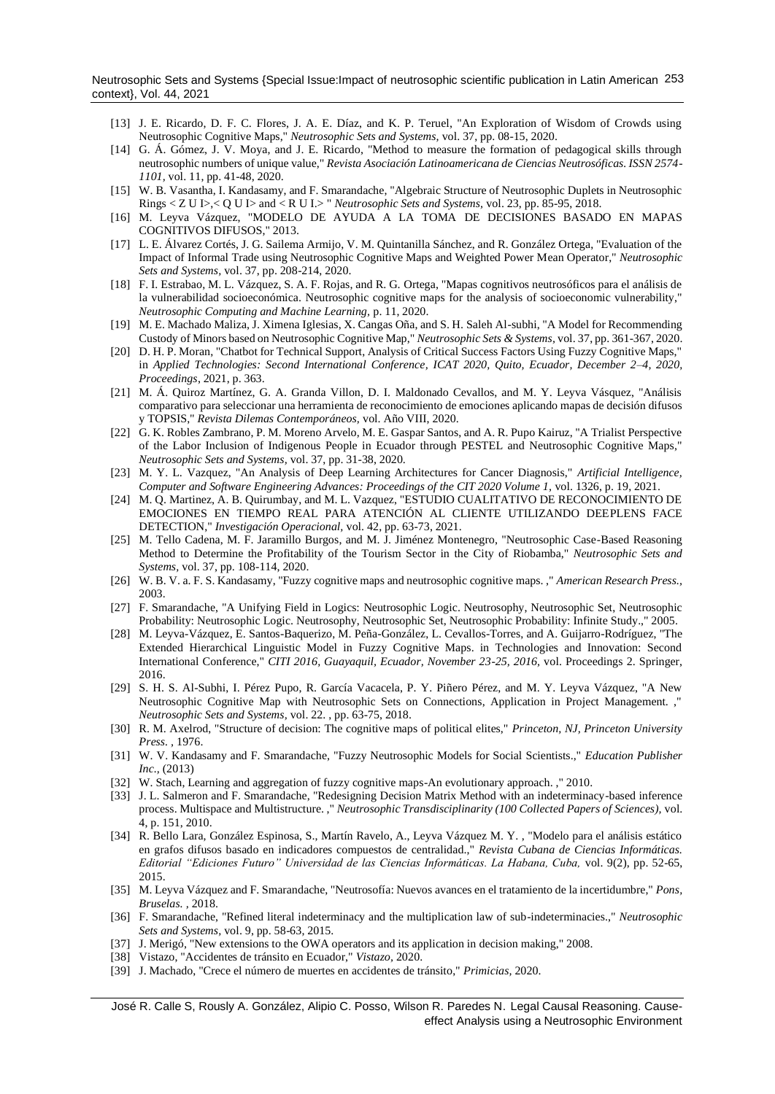Neutrosophic Sets and Systems {Special Issue:Impact of neutrosophic scientific publication in Latin American 253 context}, Vol. 44, 2021

- <span id="page-8-2"></span>[13] J. E. Ricardo, D. F. C. Flores, J. A. E. Díaz, and K. P. Teruel, "An Exploration of Wisdom of Crowds using Neutrosophic Cognitive Maps," *Neutrosophic Sets and Systems,* vol. 37, pp. 08-15, 2020.
- [14] G. Á. Gómez, J. V. Moya, and J. E. Ricardo, "Method to measure the formation of pedagogical skills through neutrosophic numbers of unique value," *Revista Asociación Latinoamericana de Ciencias Neutrosóficas. ISSN 2574- 1101,* vol. 11, pp. 41-48, 2020.
- <span id="page-8-0"></span>[15] W. B. Vasantha, I. Kandasamy, and F. Smarandache, "Algebraic Structure of Neutrosophic Duplets in Neutrosophic Rings < Z U I>,< Q U I> and < R U I.> " *Neutrosophic Sets and Systems,* vol. 23, pp. 85-95, 2018.
- <span id="page-8-1"></span>[16] M. Leyva Vázquez, "MODELO DE AYUDA A LA TOMA DE DECISIONES BASADO EN MAPAS COGNITIVOS DIFUSOS," 2013.
- <span id="page-8-3"></span>[17] L. E. Álvarez Cortés, J. G. Sailema Armijo, V. M. Quintanilla Sánchez, and R. González Ortega, "Evaluation of the Impact of Informal Trade using Neutrosophic Cognitive Maps and Weighted Power Mean Operator," *Neutrosophic Sets and Systems,* vol. 37, pp. 208-214, 2020.
- [18] F. I. Estrabao, M. L. Vázquez, S. A. F. Rojas, and R. G. Ortega, "Mapas cognitivos neutrosóficos para el análisis de la vulnerabilidad socioeconómica. Neutrosophic cognitive maps for the analysis of socioeconomic vulnerability," *Neutrosophic Computing and Machine Learning,* p. 11, 2020.
- [19] M. E. Machado Maliza, J. Ximena Iglesias, X. Cangas Oña, and S. H. Saleh Al-subhi, "A Model for Recommending Custody of Minors based on Neutrosophic Cognitive Map," *Neutrosophic Sets & Systems,* vol. 37, pp. 361-367, 2020.
- [20] D. H. P. Moran, "Chatbot for Technical Support, Analysis of Critical Success Factors Using Fuzzy Cognitive Maps," in *Applied Technologies: Second International Conference, ICAT 2020, Quito, Ecuador, December 2–4, 2020, Proceedings*, 2021, p. 363.
- [21] M. Á. Quiroz Martínez, G. A. Granda Villon, D. I. Maldonado Cevallos, and M. Y. Leyva Vásquez, "Análisis comparativo para seleccionar una herramienta de reconocimiento de emociones aplicando mapas de decisión difusos y TOPSIS," *Revista Dilemas Contemporáneos,* vol. Año VIII, 2020.
- [22] G. K. Robles Zambrano, P. M. Moreno Arvelo, M. E. Gaspar Santos, and A. R. Pupo Kairuz, "A Trialist Perspective of the Labor Inclusion of Indigenous People in Ecuador through PESTEL and Neutrosophic Cognitive Maps," *Neutrosophic Sets and Systems,* vol. 37, pp. 31-38, 2020.
- [23] M. Y. L. Vazquez, "An Analysis of Deep Learning Architectures for Cancer Diagnosis," *Artificial Intelligence, Computer and Software Engineering Advances: Proceedings of the CIT 2020 Volume 1,* vol. 1326, p. 19, 2021.
- [24] M. Q. Martinez, A. B. Quirumbay, and M. L. Vazquez, "ESTUDIO CUALITATIVO DE RECONOCIMIENTO DE EMOCIONES EN TIEMPO REAL PARA ATENCIÓN AL CLIENTE UTILIZANDO DEEPLENS FACE DETECTION," *Investigación Operacional,* vol. 42, pp. 63-73, 2021.
- [25] M. Tello Cadena, M. F. Jaramillo Burgos, and M. J. Jiménez Montenegro, "Neutrosophic Case-Based Reasoning Method to Determine the Profitability of the Tourism Sector in the City of Riobamba," *Neutrosophic Sets and Systems,* vol. 37, pp. 108-114, 2020.
- <span id="page-8-4"></span>[26] W. B. V. a. F. S. Kandasamy, "Fuzzy cognitive maps and neutrosophic cognitive maps. ," *American Research Press.,*  2003.
- <span id="page-8-5"></span>[27] F. Smarandache, "A Unifying Field in Logics: Neutrosophic Logic. Neutrosophy, Neutrosophic Set, Neutrosophic Probability: Neutrosophic Logic. Neutrosophy, Neutrosophic Set, Neutrosophic Probability: Infinite Study.," 2005.
- <span id="page-8-6"></span>[28] M. Leyva-Vázquez, E. Santos-Baquerizo, M. Peña-González, L. Cevallos-Torres, and A. Guijarro-Rodríguez, "The Extended Hierarchical Linguistic Model in Fuzzy Cognitive Maps. in Technologies and Innovation: Second International Conference," *CITI 2016, Guayaquil, Ecuador, November 23-25, 2016,* vol. Proceedings 2. Springer, 2016.
- <span id="page-8-7"></span>[29] S. H. S. Al-Subhi, I. Pérez Pupo, R. García Vacacela, P. Y. Piñero Pérez, and M. Y. Leyva Vázquez, "A New Neutrosophic Cognitive Map with Neutrosophic Sets on Connections, Application in Project Management. ," *Neutrosophic Sets and Systems,* vol. 22. , pp. 63-75, 2018.
- <span id="page-8-8"></span>[30] R. M. Axelrod, "Structure of decision: The cognitive maps of political elites," *Princeton, NJ, Princeton University Press. ,* 1976.
- <span id="page-8-9"></span>[31] W. V. Kandasamy and F. Smarandache, "Fuzzy Neutrosophic Models for Social Scientists.," *Education Publisher Inc.,* (2013)
- <span id="page-8-10"></span>[32] W. Stach, Learning and aggregation of fuzzy cognitive maps-An evolutionary approach. ," 2010.
- <span id="page-8-11"></span>[33] J. L. Salmeron and F. Smarandache, "Redesigning Decision Matrix Method with an indeterminacy-based inference process. Multispace and Multistructure. ," *Neutrosophic Transdisciplinarity (100 Collected Papers of Sciences),* vol. 4, p. 151, 2010.
- <span id="page-8-12"></span>[34] R. Bello Lara, González Espinosa, S., Martín Ravelo, A., Leyva Vázquez M. Y. , "Modelo para el análisis estático en grafos difusos basado en indicadores compuestos de centralidad.," *Revista Cubana de Ciencias Informáticas. Editorial "Ediciones Futuro" Universidad de las Ciencias Informáticas. La Habana, Cuba,* vol. 9(2), pp. 52-65, 2015.
- <span id="page-8-13"></span>[35] M. Leyva Vázquez and F. Smarandache, "Neutrosofía: Nuevos avances en el tratamiento de la incertidumbre," *Pons, Bruselas. ,* 2018.
- <span id="page-8-14"></span>[36] F. Smarandache, "Refined literal indeterminacy and the multiplication law of sub-indeterminacies.," *Neutrosophic Sets and Systems,* vol. 9, pp. 58-63, 2015.
- <span id="page-8-15"></span>[37] J. Merigó, "New extensions to the OWA operators and its application in decision making," 2008.
- <span id="page-8-16"></span>[38] Vistazo, "Accidentes de tránsito en Ecuador," *Vistazo,* 2020.
- <span id="page-8-17"></span>[39] J. Machado, "Crece el número de muertes en accidentes de tránsito," *Primicias,* 2020.